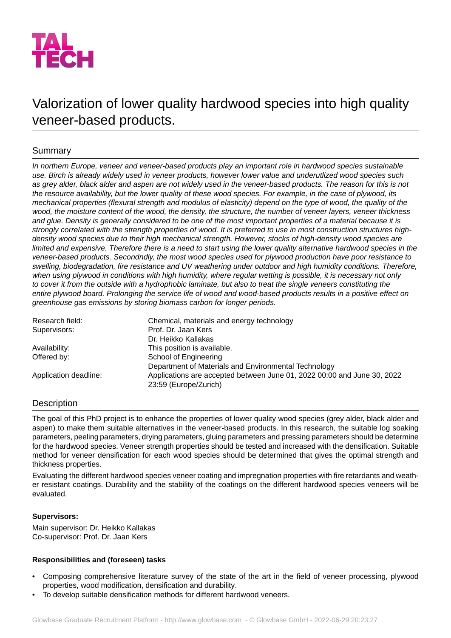

# Valorization of lower quality hardwood species into high quality veneer-based products.

## Summary

*In northern Europe, veneer and veneer-based products play an important role in hardwood species sustainable use. Birch is already widely used in veneer products, however lower value and underutlized wood species such* as grey alder, black alder and aspen are not widely used in the veneer-based products. The reason for this is not the resource availability, but the lower quality of these wood species. For example, in the case of plywood, its *mechanical properties (flexural strength and modulus of elasticity) depend on the type of wood, the quality of the* wood, the moisture content of the wood, the density, the structure, the number of veneer layers, veneer thickness *and glue. Density is generally considered to be one of the most important properties of a material because it is strongly correlated with the strength properties of wood. It is preferred to use in most construction structures highdensity wood species due to their high mechanical strength. However, stocks of high-density wood species are limited and expensive. Therefore there is a need to start using the lower quality alternative hardwood species in the veneer-based products. Secondndly, the most wood species used for plywood production have poor resistance to swelling, biodegradation, fire resistance and UV weathering under outdoor and high humidity conditions. Therefore,* when using plywood in conditions with high humidity, where regular wetting is possible, it is necessary not only *to cover it from the outside with a hydrophobic laminate, but also to treat the single veneers constituting the entire plywood board. Prolonging the service life of wood and wood-based products results in a positive effect on greenhouse gas emissions by storing biomass carbon for longer periods.*

| Research field:       | Chemical, materials and energy technology                                                        |
|-----------------------|--------------------------------------------------------------------------------------------------|
| Supervisors:          | Prof. Dr. Jaan Kers                                                                              |
|                       | Dr. Heikko Kallakas                                                                              |
| Availability:         | This position is available.                                                                      |
| Offered by:           | School of Engineering                                                                            |
|                       | Department of Materials and Environmental Technology                                             |
| Application deadline: | Applications are accepted between June 01, 2022 00:00 and June 30, 2022<br>23:59 (Europe/Zurich) |

## **Description**

The goal of this PhD project is to enhance the properties of lower quality wood species (grey alder, black alder and aspen) to make them suitable alternatives in the veneer-based products. In this research, the suitable log soaking parameters, peeling parameters, drying parameters, gluing parameters and pressing parameters should be determine for the hardwood species. Veneer strength properties should be tested and increased with the densification. Suitable method for veneer densification for each wood species should be determined that gives the optimal strength and thickness properties.

Evaluating the different hardwood species veneer coating and impregnation properties with fire retardants and weather resistant coatings. Durability and the stability of the coatings on the different hardwood species veneers will be evaluated.

## **Supervisors:**

Main supervisor: Dr. Heikko Kallakas Co-supervisor: Prof. Dr. Jaan Kers

## **Responsibilities and (foreseen) tasks**

- Composing comprehensive literature survey of the state of the art in the field of veneer processing, plywood properties, wood modification, densification and durability.
- To develop suitable densification methods for different hardwood veneers.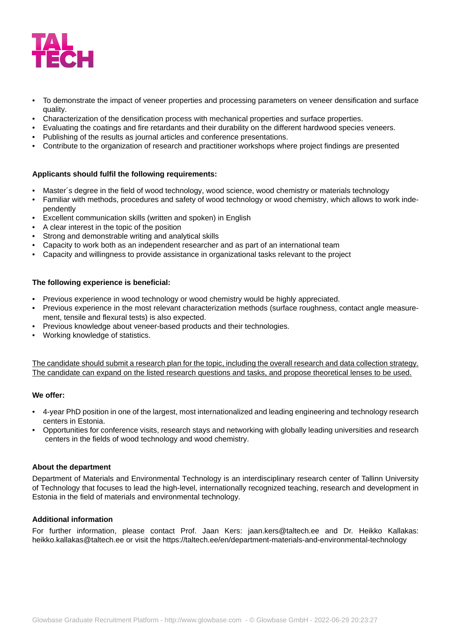

- To demonstrate the impact of veneer properties and processing parameters on veneer densification and surface quality.
- Characterization of the densification process with mechanical properties and surface properties.
- Evaluating the coatings and fire retardants and their durability on the different hardwood species veneers.
- Publishing of the results as journal articles and conference presentations.
- Contribute to the organization of research and practitioner workshops where project findings are presented

#### **Applicants should fulfil the following requirements:**

- Master's degree in the field of wood technology, wood science, wood chemistry or materials technology
- Familiar with methods, procedures and safety of wood technology or wood chemistry, which allows to work independently
- Excellent communication skills (written and spoken) in English
- A clear interest in the topic of the position
- Strong and demonstrable writing and analytical skills
- Capacity to work both as an independent researcher and as part of an international team
- Capacity and willingness to provide assistance in organizational tasks relevant to the project

#### **The following experience is beneficial:**

- Previous experience in wood technology or wood chemistry would be highly appreciated.
- Previous experience in the most relevant characterization methods (surface roughness, contact angle measurement, tensile and flexural tests) is also expected.
- Previous knowledge about veneer-based products and their technologies.
- Working knowledge of statistics.

The candidate should submit a research plan for the topic, including the overall research and data collection strategy. The candidate can expand on the listed research questions and tasks, and propose theoretical lenses to be used.

#### **We offer:**

- 4-year PhD position in one of the largest, most internationalized and leading engineering and technology research centers in Estonia.
- Opportunities for conference visits, research stays and networking with globally leading universities and research centers in the fields of wood technology and wood chemistry.

#### **About the department**

Department of Materials and Environmental Technology is an interdisciplinary research center of Tallinn University of Technology that focuses to lead the high-level, internationally recognized teaching, research and development in Estonia in the field of materials and environmental technology.

## **Additional information**

For further information, please contact Prof. Jaan Kers: jaan.kers@taltech.ee and Dr. Heikko Kallakas: heikko.kallakas@taltech.ee or visit the https://taltech.ee/en/department-materials-and-environmental-technology